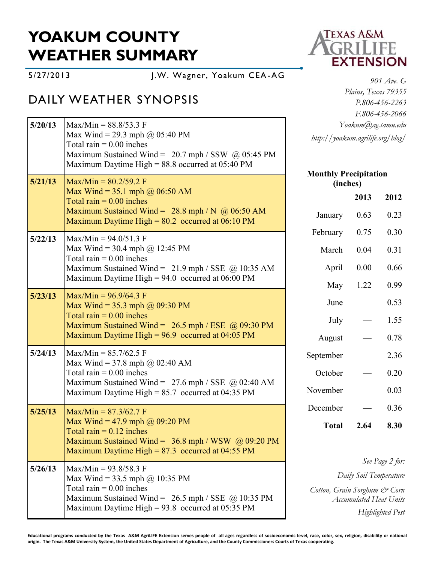# **YOAKUM COUNTY WEATHER SUMMARY**

5/27/2013 J.W. Wagner, Yoakum CEA -AG

## DAILY WEATHER SYNOPSIS

| 5/20/13 | $Max/Min = 88.8/53.3 F$<br>Max Wind = 29.3 mph @ 05:40 PM<br>Total rain $= 0.00$ inches<br>Maximum Sustained Wind = $20.7$ mph / SSW @ 05:45 PM<br>Maximum Daytime High = $88.8$ occurred at 05:40 PM | Yoakum@ag.tamu.edu<br>http://yoakum.agrilife.org/blog/                            |                        |                 |
|---------|-------------------------------------------------------------------------------------------------------------------------------------------------------------------------------------------------------|-----------------------------------------------------------------------------------|------------------------|-----------------|
| 5/21/13 | $Max/Min = 80.2/59.2 F$                                                                                                                                                                               | <b>Monthly Precipitation</b><br>(inches)                                          |                        |                 |
|         | Max Wind = 35.1 mph @ $06:50$ AM<br>Total rain $= 0.00$ inches                                                                                                                                        |                                                                                   | 2013                   | 2012            |
|         | Maximum Sustained Wind = $28.8$ mph / N @ 06:50 AM<br>Maximum Daytime High = $80.2$ occurred at 06:10 PM                                                                                              | January                                                                           | 0.63                   | 0.23            |
| 5/22/13 | $Max/Min = 94.0/51.3$ F                                                                                                                                                                               | February                                                                          | 0.75                   | 0.30            |
|         | Max Wind = 30.4 mph @ 12:45 PM<br>Total rain $= 0.00$ inches                                                                                                                                          | March                                                                             | 0.04                   | 0.31            |
|         | Maximum Sustained Wind = $21.9$ mph / SSE @ 10:35 AM                                                                                                                                                  | April                                                                             | 0.00                   | 0.66            |
|         | Maximum Daytime High = $94.0$ occurred at 06:00 PM                                                                                                                                                    | May                                                                               | 1.22                   | 0.99            |
| 5/23/13 | $Max/Min = 96.9/64.3 F$<br>Max Wind = 35.3 mph $\omega$ 09:30 PM                                                                                                                                      | June                                                                              |                        | 0.53            |
|         | Total rain $= 0.00$ inches<br>Maximum Sustained Wind = $26.5$ mph / ESE @ 09:30 PM                                                                                                                    | July                                                                              |                        | 1.55            |
|         | Maximum Daytime High = $96.9$ occurred at 04:05 PM                                                                                                                                                    | August                                                                            |                        | 0.78            |
| 5/24/13 | $Max/Min = 85.7/62.5$ F<br>Max Wind = 37.8 mph @ 02:40 AM                                                                                                                                             | September                                                                         |                        | 2.36            |
|         | Total rain $= 0.00$ inches                                                                                                                                                                            | October                                                                           |                        | 0.20            |
|         | Maximum Sustained Wind = $27.6$ mph / SSE @ 02:40 AM<br>Maximum Daytime High = $85.7$ occurred at 04:35 PM                                                                                            | November                                                                          |                        | 0.03            |
| 5/25/13 | $Max/Min = 87.3/62.7 F$                                                                                                                                                                               | December                                                                          |                        | 0.36            |
|         | Max Wind = 47.9 mph $\omega$ 09:20 PM<br>Total rain $= 0.12$ inches<br>Maximum Sustained Wind = $36.8$ mph / WSW @ 09:20 PM                                                                           | <b>Total</b>                                                                      | 2.64                   | 8.30            |
|         | Maximum Daytime High = $87.3$ occurred at 04:55 PM                                                                                                                                                    |                                                                                   |                        | See Page 2 for: |
| 5/26/13 | $Max/Min = 93.8/58.3 F$<br>Max Wind = 33.5 mph $\omega$ 10:35 PM                                                                                                                                      |                                                                                   | Daily Soil Temperature |                 |
|         | Total rain $= 0.00$ inches<br>Maximum Sustained Wind = $26.5$ mph / SSE @ 10:35 PM<br>Maximum Daytime High = $93.8$ occurred at 05:35 PM                                                              | Cotton, Grain Sorghum & Corn<br><b>Accumulated Heat Units</b><br>Highlighted Pest |                        |                 |



*901 Ave. G Plains, Texas 79355 P.806-456-2263 F.806-456-2066* m@ag.tamu.edu *http://yoakum.agrilife.org/blog/*

#### **Mitation (inches)**

**Educational programs conducted by the Texas A&M AgriLIFE Extension serves people of all ages regardless of socioeconomic level, race, color, sex, religion, disability or national origin. The Texas A&M University System, the United States Department of Agriculture, and the County Commissioners Courts of Texas cooperating.**